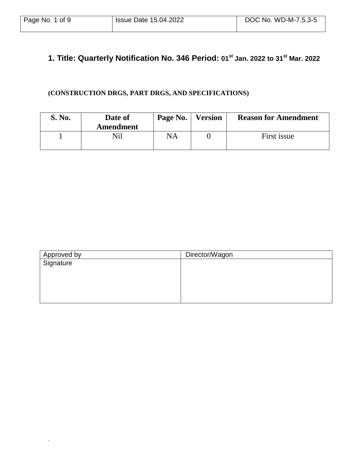.

### **1. Title: Quarterly Notification No. 346 Period: 01st Jan. 2022 to 31 st Mar. 2022**

### **(CONSTRUCTION DRGS, PART DRGS, AND SPECIFICATIONS)**

| S. No. | Date of<br>Amendment | Page No. | <b>Version</b> | <b>Reason for Amendment</b> |
|--------|----------------------|----------|----------------|-----------------------------|
|        | Nil                  | NA       |                | First issue                 |

| Director/Wagon |
|----------------|
|                |
|                |
|                |
|                |
|                |
|                |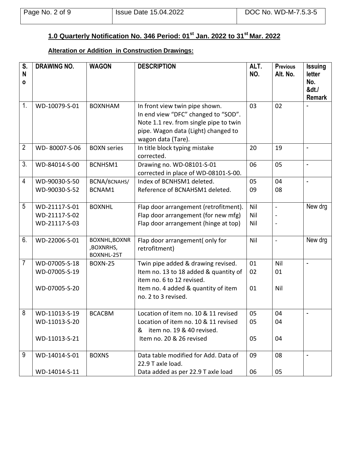#### **1.0 Quarterly Notification No. 346 Period: 01st Jan. 2022 to 31 st Mar. 2022**

### **Alteration or Addition in Construction Drawings:**

| S.<br>N<br>$\mathbf{o}$ | <b>DRAWING NO.</b>                              | <b>WAGON</b>                             | <b>DESCRIPTION</b>                                                                                                                                                           | ALT.<br>NO.       | <b>Previous</b><br>Alt. No. | <b>Issuing</b><br>letter<br>No.<br>&dt./<br><b>Remark</b> |
|-------------------------|-------------------------------------------------|------------------------------------------|------------------------------------------------------------------------------------------------------------------------------------------------------------------------------|-------------------|-----------------------------|-----------------------------------------------------------|
| 1.                      | WD-10079-S-01                                   | <b>BOXNHAM</b>                           | In front view twin pipe shown.<br>In end view "DFC" changed to "SOD".<br>Note 1.1 rev. from single pipe to twin<br>pipe. Wagon data (Light) changed to<br>wagon data (Tare). | 03                | 02                          |                                                           |
| $\overline{2}$          | WD-80007-S-06                                   | <b>BOXN</b> series                       | In title block typing mistake<br>corrected.                                                                                                                                  | 20                | 19                          | $\overline{\phantom{a}}$                                  |
| 3.                      | WD-84014-S-00                                   | BCNHSM1                                  | Drawing no. WD-08101-S-01<br>corrected in place of WD-08101-S-00.                                                                                                            | 06                | 05                          | $\overline{\phantom{a}}$                                  |
| $\overline{4}$          | WD-90030-S-50<br>WD-90030-S-52                  | BCNA/BCNAHS/<br>BCNAM1                   | Index of BCNHSM1 deleted.<br>Reference of BCNAHSM1 deleted.                                                                                                                  | 05<br>09          | 04<br>08                    |                                                           |
| 5                       | WD-21117-S-01<br>WD-21117-S-02<br>WD-21117-S-03 | <b>BOXNHL</b>                            | Flap door arrangement (retrofitment).<br>Flap door arrangement (for new mfg)<br>Flap door arrangement (hinge at top)                                                         | Nil<br>Nil<br>Nil | $\blacksquare$              | New drg                                                   |
| 6.                      | WD-22006-S-01                                   | BOXNHL, BOXNR<br>,BOXNRHS,<br>BOXNHL-25T | Flap door arrangement(only for<br>retrofitment)                                                                                                                              | Nil               | $\overline{a}$              | New drg                                                   |
| $\overline{7}$          | WD-07005-S-18<br>WD-07005-S-19<br>WD-07005-S-20 | <b>BOXN-25</b>                           | Twin pipe added & drawing revised.<br>Item no. 13 to 18 added & quantity of<br>item no. 6 to 12 revised.<br>Item no. 4 added & quantity of item<br>no. 2 to 3 revised.       | 01<br>02<br>01    | Nil<br>01<br>Nil            | $\overline{a}$                                            |
| 8                       | WD-11013-S-19<br>WD-11013-S-20<br>WD-11013-S-21 | <b>BCACBM</b>                            | Location of item no. 10 & 11 revised<br>Location of item no. 10 & 11 revised<br>& item no. 19 & 40 revised.<br>Item no. 20 & 26 revised                                      | 05<br>05<br>05    | 04<br>04<br>04              |                                                           |
| 9                       | WD-14014-S-01<br>WD-14014-S-11                  | <b>BOXNS</b>                             | Data table modified for Add. Data of<br>22.9 T axle load.<br>Data added as per 22.9 T axle load                                                                              | 09<br>06          | 08<br>05                    |                                                           |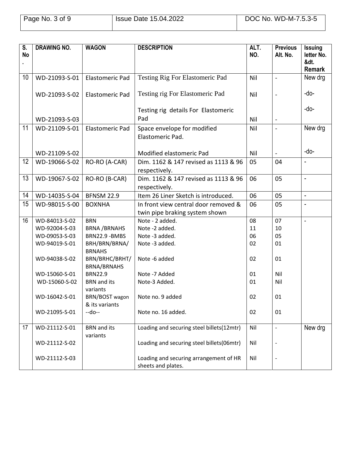| S.<br><b>No</b> | <b>DRAWING NO.</b> | <b>WAGON</b>                                        | <b>DESCRIPTION</b>                                           | ALT.<br>NO. | <b>Previous</b><br>Alt. No. | <b>Issuing</b><br>letter No.<br>&dt.<br><b>Remark</b> |
|-----------------|--------------------|-----------------------------------------------------|--------------------------------------------------------------|-------------|-----------------------------|-------------------------------------------------------|
| 10              | WD-21093-S-01      | <b>Elastomeric Pad</b>                              | <b>Testing Rig For Elastomeric Pad</b>                       | Nil         | $\overline{a}$              | New drg                                               |
|                 | WD-21093-S-02      | <b>Elastomeric Pad</b>                              | Testing rig For Elastomeric Pad                              | Nil         |                             | -do-                                                  |
|                 |                    |                                                     | Testing rig details For Elastomeric                          |             |                             | -do-                                                  |
|                 | WD-21093-S-03      |                                                     | Pad                                                          | Nil         | $\blacksquare$              |                                                       |
| 11              | WD-21109-S-01      | <b>Elastomeric Pad</b>                              | Space envelope for modified<br>Elastomeric Pad.              | Nil         |                             | New drg                                               |
|                 | WD-21109-S-02      |                                                     | Modified elastomeric Pad                                     | Nil         |                             | -do-                                                  |
| 12              | WD-19066-S-02      | RO-RO (A-CAR)                                       | Dim. 1162 & 147 revised as 1113 & 96<br>respectively.        | 05          | 04                          |                                                       |
| 13              | WD-19067-S-02      | RO-RO (B-CAR)                                       | Dim. 1162 & 147 revised as 1113 & 96<br>respectively.        | 06          | 05                          | $\blacksquare$                                        |
| 14              | WD-14035-S-04      | <b>BFNSM 22.9</b>                                   | Item 26 Liner Sketch is introduced.                          | 06          | 05                          | $\overline{\phantom{a}}$                              |
| 15              | WD-98015-S-00      | <b>BOXNHA</b>                                       | In front view central door removed &                         | 06          | 05                          | $\overline{a}$                                        |
|                 |                    |                                                     | twin pipe braking system shown                               |             |                             |                                                       |
| 16              | WD-84013-S-02      | <b>BRN</b>                                          | Note - 2 added.                                              | 08          | 07                          | $\blacksquare$                                        |
|                 | WD-92004-S-03      | <b>BRNA/BRNAHS</b>                                  | Note -2 added.                                               | 11          | 10                          |                                                       |
|                 | WD-09053-S-03      | BRN22.9 - BMBS                                      | Note -3 added.                                               | 06          | 05                          |                                                       |
|                 | WD-94019-S-01      | BRH/BRN/BRNA/<br><b>BRNAHS</b>                      | Note -3 added.                                               | 02          | 01                          |                                                       |
|                 | WD-94038-S-02      | BRN/BRHC/BRHT/<br><b>BRNA/BRNAHS</b>                | Note -6 added                                                | 02          | 01                          |                                                       |
|                 | WD-15060-S-01      | <b>BRN22.9</b>                                      | Note -7 Added                                                | 01          | Nil                         |                                                       |
|                 | WD-15060-S-02      | <b>BRN</b> and its<br>variants                      | Note-3 Added.                                                | 01          | Nil                         |                                                       |
|                 | WD-16042-S-01      | BRN/BOST wagon   Note no. 9 added<br>& its variants |                                                              | 02          | 01                          |                                                       |
|                 | WD-21095-S-01      | --do--                                              | Note no. 16 added.                                           | 02          | 01                          |                                                       |
| 17              | WD-21112-S-01      | <b>BRN</b> and its<br>variants                      | Loading and securing steel billets(12mtr)                    | Nil         | $\overline{\phantom{a}}$    | New drg                                               |
|                 | WD-21112-S-02      |                                                     | Loading and securing steel billets(06mtr)                    | Nil         |                             |                                                       |
|                 | WD-21112-S-03      |                                                     | Loading and securing arrangement of HR<br>sheets and plates. | Nil         |                             |                                                       |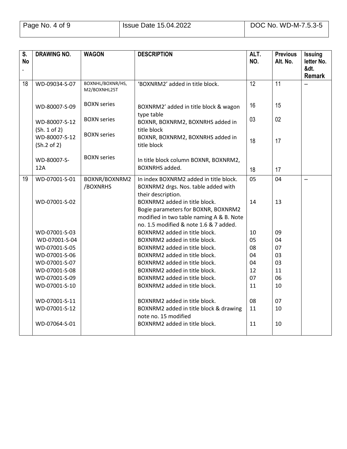| S.<br><b>No</b> | <b>DRAWING NO.</b>            | <b>WAGON</b>                     | <b>DESCRIPTION</b>                                             | ALT.<br>NO.     | <b>Previous</b><br>Alt. No. | <b>Issuing</b><br>letter No.<br>&dt. |
|-----------------|-------------------------------|----------------------------------|----------------------------------------------------------------|-----------------|-----------------------------|--------------------------------------|
|                 |                               |                                  |                                                                |                 |                             | <b>Remark</b>                        |
| 18              | WD-09034-S-07                 | BOXNHL/BOXNR/HS,<br>M2/BOXNHL25T | 'BOXNRM2' added in title block.                                | $\overline{12}$ | $\overline{11}$             |                                      |
|                 | WD-80007-S-09                 | <b>BOXN</b> series               | BOXNRM2' added in title block & wagon<br>type table            | 16              | 15                          |                                      |
|                 | WD-80007-S-12<br>(Sh. 1 of 2) | <b>BOXN</b> series               | BOXNR, BOXNRM2, BOXNRHS added in<br>title block                | 03              | 02                          |                                      |
|                 | WD-80007-S-12<br>(Sh.2 of 2)  | <b>BOXN</b> series               | BOXNR, BOXNRM2, BOXNRHS added in<br>title block                | 18              | 17                          |                                      |
|                 | WD-80007-S-<br>12A            | <b>BOXN</b> series               | In title block column BOXNR, BOXNRM2,<br><b>BOXNRHS</b> added. | 18              | 17                          |                                      |
| 19              | WD-07001-S-01                 | BOXNR/BOXNRM2                    | In index BOXNRM2 added in title block.                         | 05              | 04                          | 44                                   |
|                 |                               | /BOXNRHS                         | BOXNRM2 drgs. Nos. table added with                            |                 |                             |                                      |
|                 |                               |                                  | their description.                                             |                 |                             |                                      |
|                 | WD-07001-S-02                 |                                  | BOXNRM2 added in title block.                                  | 14              | 13                          |                                      |
|                 |                               |                                  | Bogie parameters for BOXNR, BOXNRM2                            |                 |                             |                                      |
|                 |                               |                                  | modified in two table naming A & B. Note                       |                 |                             |                                      |
|                 |                               |                                  | no. 1.5 modified & note 1.6 & 7 added.                         |                 |                             |                                      |
|                 | WD-07001-S-03                 |                                  | BOXNRM2 added in title block.                                  | 10              | 09                          |                                      |
|                 | WD-07001-S-04                 |                                  | BOXNRM2 added in title block.                                  | 05              | 04                          |                                      |
|                 | WD-07001-S-05                 |                                  | BOXNRM2 added in title block.                                  | 08              | 07                          |                                      |
|                 | WD-07001-S-06                 |                                  | BOXNRM2 added in title block.                                  | 04              | 03                          |                                      |
|                 | WD-07001-S-07                 |                                  | BOXNRM2 added in title block.                                  | 04              | 03                          |                                      |
|                 | WD-07001-S-08                 |                                  | BOXNRM2 added in title block.                                  | 12              | 11                          |                                      |
|                 | WD-07001-S-09                 |                                  | BOXNRM2 added in title block.                                  | 07              | 06                          |                                      |
|                 | WD-07001-S-10                 |                                  | BOXNRM2 added in title block.                                  | 11              | 10                          |                                      |
|                 | WD-07001-S-11                 |                                  | BOXNRM2 added in title block.                                  | 08              | 07                          |                                      |
|                 | WD-07001-S-12                 |                                  | BOXNRM2 added in title block & drawing<br>note no. 15 modified | 11              | 10                          |                                      |
|                 | WD-07064-S-01                 |                                  | BOXNRM2 added in title block.                                  | 11              | 10                          |                                      |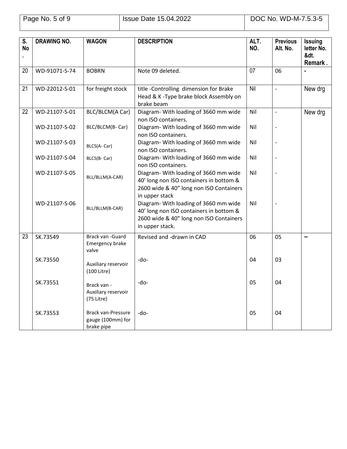| $\overline{\mathsf{s}}$ .<br><b>No</b> | <b>DRAWING NO.</b> | <b>WAGON</b>                                          | <b>DESCRIPTION</b>                                                                                                                             | ALT.<br>NO. | <b>Previous</b><br>Alt. No. | <b>Issuing</b><br>letter No.<br>&dt.<br>Remark. |
|----------------------------------------|--------------------|-------------------------------------------------------|------------------------------------------------------------------------------------------------------------------------------------------------|-------------|-----------------------------|-------------------------------------------------|
| 20                                     | WD-91071-S-74      | <b>BOBRN</b>                                          | Note 09 deleted.                                                                                                                               | 07          | 06                          |                                                 |
| 21                                     | WD-22012-S-01      | for freight stock                                     | title-Controlling dimension for Brake<br>Head & K-Type brake block Assembly on<br>brake beam                                                   | Nil         | $\overline{\phantom{a}}$    | New drg                                         |
| 22                                     | WD-21107-S-01      | BLC/BLCM(A Car)                                       | Diagram- With loading of 3660 mm wide<br>non ISO containers.                                                                                   | Nil         | $\overline{\phantom{a}}$    | New drg                                         |
|                                        | WD-21107-S-02      | BLC/BLCM(B-Car)                                       | Diagram- With loading of 3660 mm wide<br>non ISO containers.                                                                                   | Nil         |                             |                                                 |
|                                        | WD-21107-S-03      | BLCS(A-Car)                                           | Diagram- With loading of 3660 mm wide<br>non ISO containers.                                                                                   | Nil         |                             |                                                 |
|                                        | WD-21107-S-04      | BLCS(B-Car)                                           | Diagram- With loading of 3660 mm wide<br>non ISO containers.                                                                                   | Nil         |                             |                                                 |
|                                        | WD-21107-S-05      | BLL/BLLM(A-CAR)                                       | Diagram- With loading of 3660 mm wide<br>40' long non ISO containers in bottom &<br>2600 wide & 40" long non ISO Containers<br>in upper stack  | Nil         |                             |                                                 |
|                                        | WD-21107-S-06      | BLL/BLLM(B-CAR)                                       | Diagram- With loading of 3660 mm wide<br>40' long non ISO containers in bottom &<br>2600 wide & 40" long non ISO Containers<br>in upper stack. | Nil         |                             |                                                 |
| 23                                     | SK.73549           | Brack van -Guard<br>Emergency brake<br>valve          | Revised and -drawn in CAD                                                                                                                      | 06          | 05                          | н.                                              |
|                                        | SK.73550           | Auxiliary reservoir<br>(100 Litre)                    | -do-                                                                                                                                           | 04          | 03                          |                                                 |
|                                        | SK.73551           | Brack van -<br>Auxiliary reservoir<br>$(75$ Litre)    | -do-                                                                                                                                           | 05          | 04                          |                                                 |
|                                        | SK.73553           | Brack van-Pressure<br>gauge (100mm) for<br>brake pipe | -do-                                                                                                                                           | 05          | 04                          |                                                 |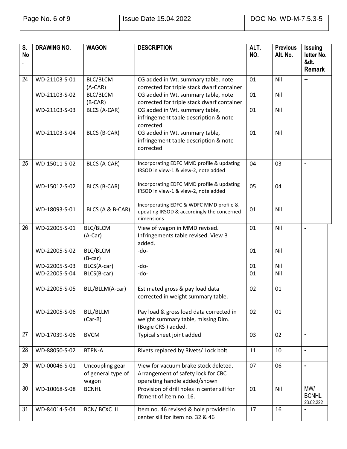| S.<br><b>No</b> | <b>DRAWING NO.</b> | <b>WAGON</b>                                   | <b>DESCRIPTION</b>                                                                                                              | ALT.<br>NO. | <b>Previous</b><br>Alt. No. | <b>Issuing</b><br>letter No.<br>&dt.<br><b>Remark</b> |
|-----------------|--------------------|------------------------------------------------|---------------------------------------------------------------------------------------------------------------------------------|-------------|-----------------------------|-------------------------------------------------------|
| 24              | WD-21103-S-01      | <b>BLC/BLCM</b>                                | CG added in Wt. summary table, note                                                                                             | 01          | Nil                         | н.                                                    |
|                 | WD-21103-S-02      | $(A-CAR)$<br>BLC/BLCM<br>$(B-CAR)$             | corrected for triple stack dwarf container<br>CG added in Wt. summary table, note<br>corrected for triple stack dwarf container | 01          | Nil                         |                                                       |
|                 | WD-21103-S-03      | BLCS (A-CAR)                                   | CG added in Wt. summary table,<br>infringement table description & note<br>corrected                                            | 01          | Nil                         |                                                       |
|                 | WD-21103-S-04      | BLCS (B-CAR)                                   | CG added in Wt. summary table,<br>infringement table description & note<br>corrected                                            | 01          | Nil                         |                                                       |
| 25              | WD-15011-S-02      | BLCS (A-CAR)                                   | Incorporating EDFC MMD profile & updating<br>IRSOD in view-1 & view-2, note added                                               | 04          | 03                          | ä,                                                    |
|                 | WD-15012-S-02      | BLCS (B-CAR)                                   | Incorporating EDFC MMD profile & updating<br>IRSOD in view-1 & view-2, note added                                               | 05          | 04                          |                                                       |
|                 | WD-18093-S-01      | BLCS (A & B-CAR)                               | Incorporating EDFC & WDFC MMD profile &<br>updating IRSOD & accordingly the concerned<br>dimensions                             | 01          | Nil                         |                                                       |
| 26              | WD-22005-S-01      | BLC/BLCM                                       | View of wagon in MMD revised.                                                                                                   | 01          | Nil                         | $\blacksquare$                                        |
|                 |                    | $(A-Car)$                                      | Infringements table revised. View B<br>added.                                                                                   |             |                             |                                                       |
|                 | WD-22005-S-02      | BLC/BLCM<br>$(B-car)$                          | -do-                                                                                                                            | 01          | Nil                         |                                                       |
|                 | WD-22005-S-03      | BLCS(A-car)                                    | -do-                                                                                                                            | 01          | Nil                         |                                                       |
|                 | WD-22005-S-04      | BLCS(B-car)                                    | -do-                                                                                                                            | 01          | Nil                         |                                                       |
|                 | WD-22005-S-05      | BLL/BLLM(A-car)                                | Estimated gross & pay load data<br>corrected in weight summary table.                                                           | 02          | 01                          |                                                       |
|                 | WD-22005-S-06      | BLL/BLLM<br>$(Car-B)$                          | Pay load & gross load data corrected in<br>weight summary table, missing Dim.<br>(Bogie CRS) added.                             | 02          | 01                          |                                                       |
| 27              | WD-17039-S-06      | <b>BVCM</b>                                    | Typical sheet joint added                                                                                                       | 03          | 02                          | $\blacksquare$                                        |
| 28              | WD-88050-S-02      | <b>BTPN-A</b>                                  | Rivets replaced by Rivets/ Lock bolt                                                                                            | 11          | 10                          | $\blacksquare$                                        |
| 29              | WD-00046-S-01      | Uncoupling gear<br>of general type of<br>wagon | View for vacuum brake stock deleted.<br>Arrangement of safety lock for CBC<br>operating handle added/shown                      | 07          | 06                          | $\blacksquare$                                        |
| 30              | WD-10068-S-08      | <b>BCNHL</b>                                   | Provision of drill holes in center sill for<br>fitment of item no. 16.                                                          | 01          | Nil                         | MW/<br><b>BCNHL</b><br>23.02.222                      |
| 31              | WD-84014-S-04      | <b>BCN/BCXCIII</b>                             | Item no. 46 revised & hole provided in<br>center sill for item no. 32 & 46                                                      | 17          | 16                          |                                                       |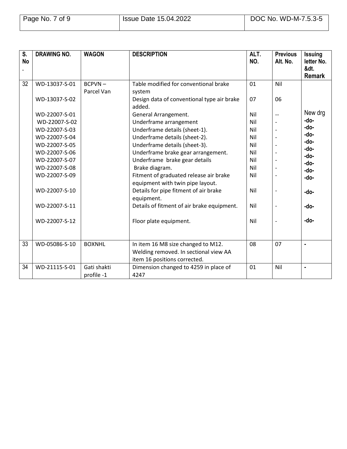| S.<br><b>No</b> | <b>DRAWING NO.</b> | <b>WAGON</b>  | <b>DESCRIPTION</b>                                   | ALT.<br>NO. | <b>Previous</b><br>Alt. No. | <b>Issuing</b><br>letter No. |
|-----------------|--------------------|---------------|------------------------------------------------------|-------------|-----------------------------|------------------------------|
|                 |                    |               |                                                      |             |                             | &dt.<br><b>Remark</b>        |
| 32              | WD-13037-S-01      | $BCPVN -$     | Table modified for conventional brake                | 01          | Nil                         |                              |
|                 |                    | Parcel Van    | system                                               |             |                             |                              |
|                 | WD-13037-S-02      |               | Design data of conventional type air brake<br>added. | 07          | 06                          |                              |
|                 | WD-22007-S-01      |               | General Arrangement.                                 | Nil         | --                          | New drg                      |
|                 | WD-22007-S-02      |               | Underframe arrangement                               | Nil         |                             | -do-                         |
|                 | WD-22007-S-03      |               | Underframe details (sheet-1).                        | Nil         |                             | -do-                         |
|                 | WD-22007-S-04      |               | Underframe details (sheet-2).                        | Nil         |                             | -do-                         |
|                 | WD-22007-S-05      |               | Underframe details (sheet-3).                        | Nil         |                             | -do-                         |
|                 | WD-22007-S-06      |               | Underframe brake gear arrangement.                   | Nil         |                             | -do-<br>-do-                 |
|                 | WD-22007-S-07      |               | Underframe brake gear details                        | Nil         |                             | -do-                         |
|                 | WD-22007-S-08      |               | Brake diagram.                                       | Nil         |                             | -do-                         |
|                 | WD-22007-S-09      |               | Fitment of graduated release air brake               | Nil         |                             | -do-                         |
|                 |                    |               | equipment with twin pipe layout.                     |             |                             |                              |
|                 | WD-22007-S-10      |               | Details for pipe fitment of air brake                | Nil         |                             | -do-                         |
|                 |                    |               | equipment.                                           |             |                             |                              |
|                 | WD-22007-S-11      |               | Details of fitment of air brake equipment.           | Nil         |                             | -do-                         |
|                 | WD-22007-S-12      |               | Floor plate equipment.                               | Nil         |                             | -do-                         |
|                 |                    |               |                                                      |             |                             |                              |
|                 |                    |               |                                                      |             |                             |                              |
| 33              | WD-05086-S-10      | <b>BOXNHL</b> | In item 16 M8 size changed to M12.                   | 08          | 07                          | $\blacksquare$               |
|                 |                    |               | Welding removed. In sectional view AA                |             |                             |                              |
|                 |                    |               | item 16 positions corrected.                         |             |                             |                              |
| 34              | WD-21115-S-01      | Gati shakti   | Dimension changed to 4259 in place of                | 01          | Nil                         | $\blacksquare$               |
|                 |                    | profile -1    | 4247                                                 |             |                             |                              |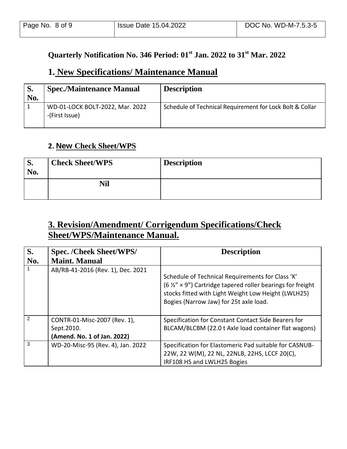# **Quarterly Notification No. 346 Period: 01st Jan. 2022 to 31st Mar. 2022**

## **1. New Specifications/ Maintenance Manual**

| S.<br>No. | <b>Spec./Maintenance Manual</b>                   | <b>Description</b>                                       |
|-----------|---------------------------------------------------|----------------------------------------------------------|
|           | WD-01-LOCK BOLT-2022, Mar. 2022<br>-(First Issue) | Schedule of Technical Requirement for Lock Bolt & Collar |

## **2. New Check Sheet/WPS**

| p.<br>No. | <b>Check Sheet/WPS</b> | <b>Description</b> |
|-----------|------------------------|--------------------|
|           | Nil                    |                    |

# **3. Revision/Amendment/ Corrigendum Specifications/Check Sheet/WPS/Maintenance Manual.**

| S.             | <b>Spec. /Cheek Sheet/WPS/</b>                                            | <b>Description</b>                                                                                                                                                                                                               |
|----------------|---------------------------------------------------------------------------|----------------------------------------------------------------------------------------------------------------------------------------------------------------------------------------------------------------------------------|
| No.            | <b>Maint. Manual</b>                                                      |                                                                                                                                                                                                                                  |
|                | AB/RB-41-2016 (Rev. 1), Dec. 2021                                         | Schedule of Technical Requirements for Class 'K'<br>(6 $\frac{1}{2}$ $\times$ 9") Cartridge tapered roller bearings for freight<br>stocks fitted with Light Weight Low Height (LWLH25)<br>Bogies (Narrow Jaw) for 25t axle load. |
| $\mathfrak{p}$ | CONTR-01-Misc-2007 (Rev. 1),<br>Sept.2010.<br>(Amend. No. 1 of Jan. 2022) | Specification for Constant Contact Side Bearers for<br>BLCAM/BLCBM (22.0 t Axle load container flat wagons)                                                                                                                      |
| 3              | WD-20-Misc-95 (Rev. 4), Jan. 2022                                         | Specification for Elastomeric Pad suitable for CASNUB-<br>22W, 22 W(M), 22 NL, 22NLB, 22HS, LCCF 20(C),<br>IRF108 HS and LWLH25 Bogies                                                                                           |